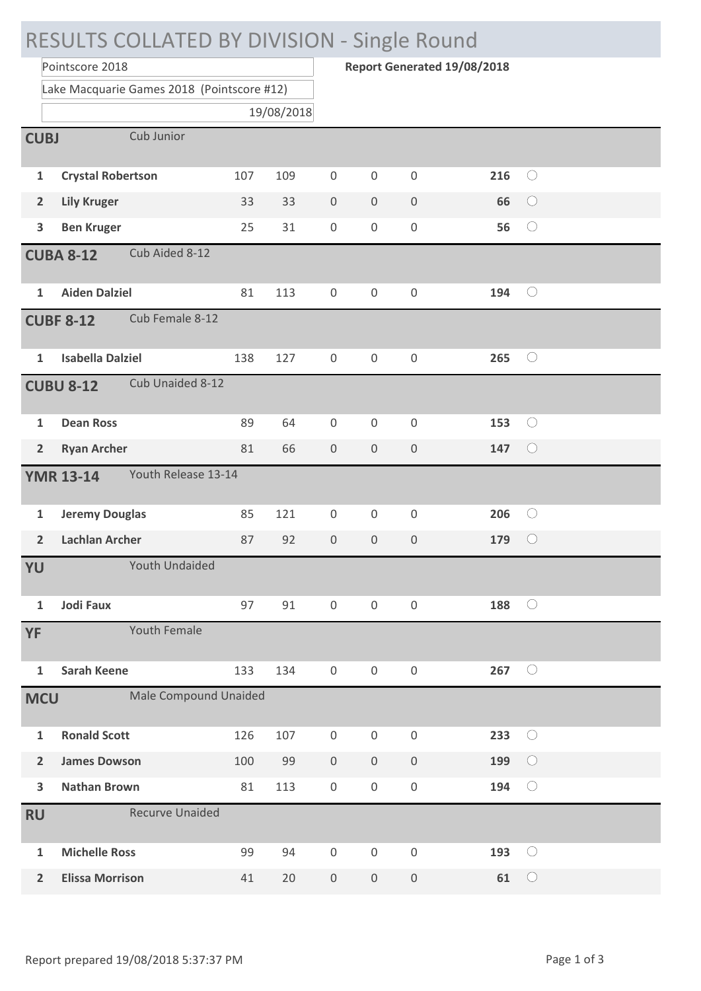## RESULTS COLLATED BY DIVISION - Single Round **Report Generated 19/08/2018** Pointscore 2018 Lake Macquarie Games 2018 (Pointscore #12) 19/08/2018 **CUBJ** Cub Junior **1 Crystal Robertson** 107 109 0 0 0 **216**  $\bigcirc$  $\bigcirc$ **2 Lily Kruger** 33 33 0 0 0 **66 3 Ben Kruger** 25 31 0 0 0 **56**  $\bigcirc$ **CUBA 8-12** Cub Aided 8-12 **1 Aiden Dalziel** 81 113 0 0 0 **194**  $\bigcirc$ **CUBF 8-12** Cub Female 8-12 **1 Isabella Dalziel** 138 127 0 0 0 **265**  $\bigcirc$ **CUBU 8-12** Cub Unaided 8-12  $\bigcirc$ **1 Dean Ross** 89 64 0 0 0 **153 2 Ryan Archer** 81 66 0 0 0 **147**  $\bigcirc$ **YMR 13-14** Youth Release 13-14 **1 Jeremy Douglas** 85 121 0 0 0 **206**  $\bigcirc$ **2 Lachlan Archer** 87 92 0 0 0 **179**  $\bigcirc$ **YU** Youth Undaided  $\bigcirc$ **1 Jodi Faux** 97 91 0 0 0 **188 YF** Youth Female  $\bigcirc$ **1 Sarah Keene** 133 134 0 0 0 **267 MCU** Male Compound Unaided  $\bigcirc$ **1 Ronald Scott** 126 107 0 0 0 **233 2 James Dowson** 100 99 0 0 0 **199**  $\bigcirc$ **3 Nathan Brown** 81 113 0 0 0 **194**  $\bigcirc$ **RU** Recurve Unaided  $\bigcirc$ **1 Michelle Ross** 99 94 0 0 0 **193**  $\bigcirc$ **2 Elissa Morrison** 41 20 0 0 0 **61**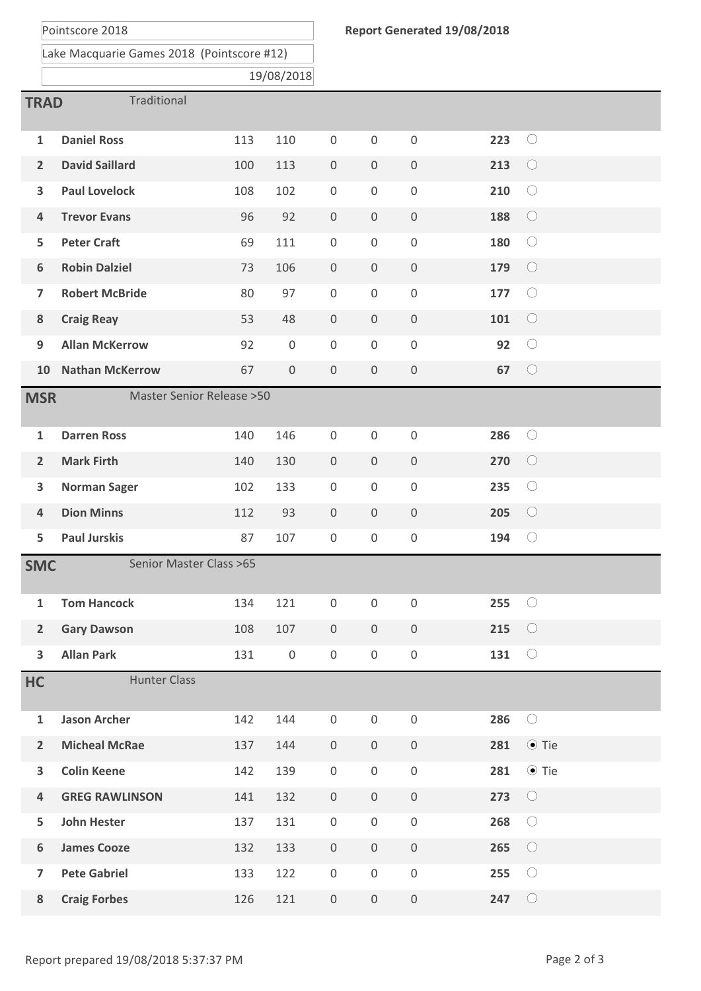Pointscore 2018

Lake Macquarie Games 2018 (Pointscore #12)

19/08/2018

| Traditional<br><b>TRAD</b>                         |                        |     |                     |                     |                     |                     |     |             |  |
|----------------------------------------------------|------------------------|-----|---------------------|---------------------|---------------------|---------------------|-----|-------------|--|
| $\mathbf{1}$                                       | <b>Daniel Ross</b>     | 113 | 110                 | $\boldsymbol{0}$    | $\mathsf{O}\xspace$ | $\mathbf 0$         | 223 | $\bigcirc$  |  |
| $\overline{2}$                                     | <b>David Saillard</b>  | 100 | 113                 | $\mathsf{O}\xspace$ | $\mathsf{O}\xspace$ | $\mathsf{O}\xspace$ | 213 | $\bigcirc$  |  |
| 3                                                  | <b>Paul Lovelock</b>   | 108 | 102                 | $\mathsf{O}\xspace$ | $\boldsymbol{0}$    | $\mathsf 0$         | 210 | $\bigcirc$  |  |
| $\overline{\mathbf{4}}$                            | <b>Trevor Evans</b>    | 96  | 92                  | $\mathsf{O}\xspace$ | $\mathsf{O}\xspace$ | $\mathsf{O}\xspace$ | 188 | $\bigcirc$  |  |
| 5                                                  | <b>Peter Craft</b>     | 69  | 111                 | $\mathsf{O}\xspace$ | $\mathsf{O}\xspace$ | $\mathsf 0$         | 180 | $\bigcirc$  |  |
| $\boldsymbol{6}$                                   | <b>Robin Dalziel</b>   | 73  | 106                 | $\mathsf{O}\xspace$ | $\mathsf{O}\xspace$ | $\mathsf{O}\xspace$ | 179 | $\bigcirc$  |  |
| $\overline{7}$                                     | <b>Robert McBride</b>  | 80  | 97                  | $\boldsymbol{0}$    | $\boldsymbol{0}$    | $\mathsf 0$         | 177 | $\bigcirc$  |  |
| 8                                                  | <b>Craig Reay</b>      | 53  | 48                  | $\mathsf{O}\xspace$ | $\mathsf{O}\xspace$ | $\mathsf{O}\xspace$ | 101 | $\bigcirc$  |  |
| 9                                                  | <b>Allan McKerrow</b>  | 92  | $\mathbf 0$         | $\boldsymbol{0}$    | $\mathsf{O}\xspace$ | $\mathsf{O}\xspace$ | 92  | $\bigcirc$  |  |
| 10                                                 | <b>Nathan McKerrow</b> | 67  | $\mathbf 0$         | $\mathsf{O}\xspace$ | $\mathsf{O}\xspace$ | $\mathsf 0$         | 67  | $\bigcirc$  |  |
|                                                    |                        |     |                     |                     |                     |                     |     |             |  |
| <b>Master Senior Release &gt; 50</b><br><b>MSR</b> |                        |     |                     |                     |                     |                     |     |             |  |
| $\mathbf{1}$                                       | <b>Darren Ross</b>     | 140 | 146                 | $\mathsf{O}\xspace$ | $\mathsf{O}\xspace$ | $\mathsf 0$         | 286 | $\bigcirc$  |  |
| $\overline{2}$                                     | <b>Mark Firth</b>      | 140 | 130                 | $\mathsf{O}\xspace$ | $\mathsf{O}$        | $\mathsf 0$         | 270 | $\bigcirc$  |  |
| $\overline{\mathbf{3}}$                            | <b>Norman Sager</b>    | 102 | 133                 | $\mathsf{O}\xspace$ | $\mathsf{O}\xspace$ | $\mathsf 0$         | 235 | $\bigcirc$  |  |
| $\overline{\mathbf{4}}$                            | <b>Dion Minns</b>      | 112 | 93                  | $\mathsf{O}\xspace$ | $\mathsf{O}\xspace$ | $\mathsf{O}\xspace$ | 205 | $\bigcirc$  |  |
| 5                                                  | <b>Paul Jurskis</b>    | 87  | 107                 | $\mathsf{O}\xspace$ | $\boldsymbol{0}$    | $\mathsf{O}\xspace$ | 194 | $\bigcirc$  |  |
| Senior Master Class >65<br><b>SMC</b>              |                        |     |                     |                     |                     |                     |     |             |  |
| $\mathbf{1}$                                       | <b>Tom Hancock</b>     | 134 | 121                 | $\mathsf 0$         | $\mathbf 0$         | $\mathbf 0$         | 255 | $\bigcirc$  |  |
| $\overline{2}$                                     | <b>Gary Dawson</b>     | 108 | 107                 | $\overline{0}$      | $\mathsf{O}\xspace$ | $\mathsf{O}\xspace$ | 215 | $\bigcirc$  |  |
| $\overline{\mathbf{3}}$                            | <b>Allan Park</b>      | 131 | $\mathsf{O}\xspace$ | $\mathsf{O}\xspace$ | $\boldsymbol{0}$    | $\mathsf{O}\xspace$ | 131 | $\bigcirc$  |  |
| HC                                                 | <b>Hunter Class</b>    |     |                     |                     |                     |                     |     |             |  |
| $\mathbf{1}$                                       | <b>Jason Archer</b>    | 142 | 144                 | $\boldsymbol{0}$    | $\mathbf 0$         | $\mathsf{O}\xspace$ | 286 | $\bigcirc$  |  |
| $\overline{2}$                                     | <b>Micheal McRae</b>   | 137 | 144                 | $\mathsf{O}\xspace$ | $\mathsf{O}\xspace$ | $\mathsf{O}\xspace$ | 281 | $\odot$ Tie |  |
| $\overline{\mathbf{3}}$                            | <b>Colin Keene</b>     | 142 | 139                 | $\mathsf{O}\xspace$ | $\boldsymbol{0}$    | $\mathsf{O}\xspace$ | 281 | $\odot$ Tie |  |
| $\overline{\mathbf{4}}$                            | <b>GREG RAWLINSON</b>  | 141 | 132                 | $\mathsf{O}\xspace$ | $\mathsf{O}\xspace$ | $\mathsf{O}\xspace$ | 273 | $\bigcirc$  |  |
| 5                                                  | <b>John Hester</b>     | 137 | 131                 | 0                   | $\mathsf{O}$        | $\boldsymbol{0}$    | 268 | $\bigcirc$  |  |
| $\boldsymbol{6}$                                   | <b>James Cooze</b>     | 132 | 133                 | $\mathsf{O}\xspace$ | $\mathsf{O}\xspace$ | $\mathsf{O}\xspace$ | 265 | $\bigcirc$  |  |
| $\overline{\mathbf{z}}$                            | <b>Pete Gabriel</b>    | 133 | 122                 | $\mathsf{O}\xspace$ | $\boldsymbol{0}$    | $\mathsf{O}\xspace$ | 255 | $\bigcirc$  |  |
| 8                                                  | <b>Craig Forbes</b>    | 126 | 121                 | $\mathsf{O}\xspace$ | $\mathsf{O}\xspace$ | $\mathsf{O}\xspace$ | 247 | $\bigcirc$  |  |
|                                                    |                        |     |                     |                     |                     |                     |     |             |  |